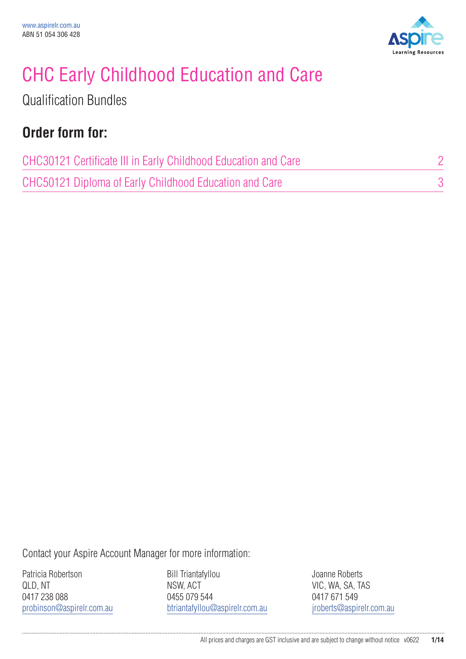

# CHC Early Childhood Education and Care

Qualification Bundles

### **Order form for:**

| CHC30121 Certificate III in Early Childhood Education and Care |  |
|----------------------------------------------------------------|--|
| CHC50121 Diploma of Early Childhood Education and Care         |  |

Contact your Aspire Account Manager for more information:

Patricia Robertson QLD, NT 0417 238 088 probinson@aspirelr.com.au

Bill Triantafyllou NSW, ACT 0455 079 544 btriantafyllou@aspirelr.com.au Joanne Roberts VIC, WA, SA, TAS 0417 671 549 jroberts@aspirelr.com.au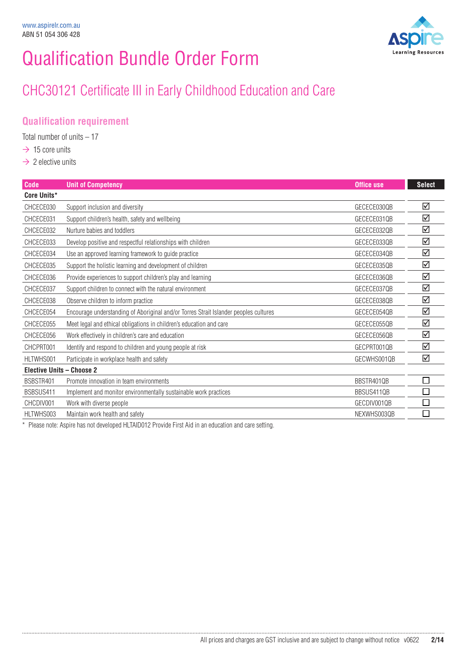## Qualification Bundle Order Form

### CHC30121 Certificate III in Early Childhood Education and Care

#### **Qualification requirement**

Total number of units  $-17$ 

- $\rightarrow$  15 core units
- $\rightarrow$  2 elective units

| <b>Code</b>                      | <b>Unit of Competency</b>                                                            | <b>Office use</b> | <b>Select</b> |
|----------------------------------|--------------------------------------------------------------------------------------|-------------------|---------------|
| Core Units*                      |                                                                                      |                   |               |
| CHCECE030                        | Support inclusion and diversity                                                      | GECECE030OB       | ☑             |
| CHCECE031                        | Support children's health, safety and wellbeing                                      | GECECE031QB       | ☑             |
| CHCECE032                        | Nurture babies and toddlers                                                          | GECECE032QB       | ☑             |
| CHCECE033                        | Develop positive and respectful relationships with children                          | GECECE033QB       | ☑             |
| CHCECE034                        | Use an approved learning framework to guide practice                                 | GECECE0340B       | ☑             |
| CHCECE035                        | Support the holistic learning and development of children                            | GECECE035QB       | ☑             |
| CHCECE036                        | Provide experiences to support children's play and learning                          | GECECE036QB       | ☑             |
| CHCECE037                        | Support children to connect with the natural environment                             | GECECE037QB       | ☑             |
| CHCECE038                        | Observe children to inform practice                                                  | GECECE038QB       | ☑             |
| CHCECE054                        | Encourage understanding of Aboriginal and/or Torres Strait Islander peoples cultures | GECECE054QB       | ☑             |
| CHCECE055                        | Meet legal and ethical obligations in children's education and care                  | GECECE055QB       | ☑             |
| CHCECE056                        | Work effectively in children's care and education                                    | GECECE0560B       | ☑             |
| CHCPRT001                        | Identify and respond to children and young people at risk                            | GECPRT001QB       | ☑             |
| HLTWHS001                        | Participate in workplace health and safety                                           | GECWHS0010B       | ☑             |
| <b>Elective Units - Choose 2</b> |                                                                                      |                   |               |
| BSBSTR401                        | Promote innovation in team environments                                              | BBSTR4010B        |               |
| BSBSUS411                        | Implement and monitor environmentally sustainable work practices                     | BBSUS411QB        |               |
| CHCDIV001                        | Work with diverse people                                                             | GECDIV001QB       |               |
| HLTWHS003                        | Maintain work health and safety                                                      | NEXWHS003QB       |               |

\* Please note: Aspire has not developed HLTAID012 Provide First Aid in an education and care setting.

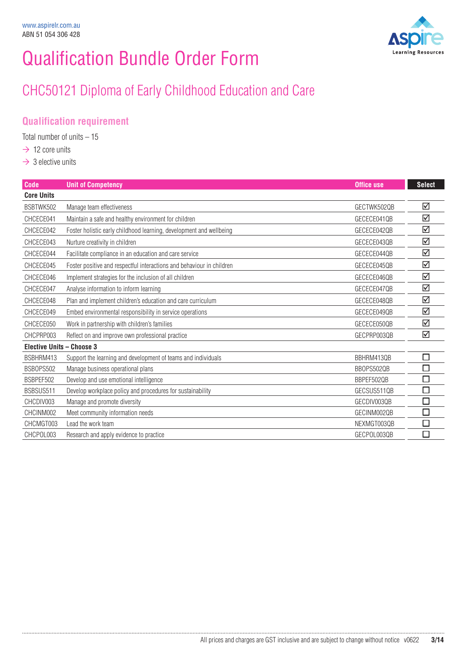## Qualification Bundle Order Form

### CHC50121 Diploma of Early Childhood Education and Care

#### **Qualification requirement**

Total number of units  $-15$ 

- $\rightarrow$  12 core units
- $\rightarrow$  3 elective units

......................................

| <b>Code</b>                      | <b>Unit of Competency</b>                                             | <b>Office use</b> | <b>Select</b>               |
|----------------------------------|-----------------------------------------------------------------------|-------------------|-----------------------------|
| <b>Core Units</b>                |                                                                       |                   |                             |
| BSBTWK502                        | Manage team effectiveness                                             | GECTWK5020B       | ☑                           |
| CHCECE041                        | Maintain a safe and healthy environment for children                  | GECECE0410B       | ☑                           |
| CHCECE042                        | Foster holistic early childhood learning, development and wellbeing   | GECECE042QB       | ☑                           |
| CHCECE043                        | Nurture creativity in children                                        | GECECE043QB       | ☑                           |
| CHCECE044                        | Facilitate compliance in an education and care service                | GECECE044QB       | ☑                           |
| CHCECE045                        | Foster positive and respectful interactions and behaviour in children | GECECE045QB       | ☑                           |
| CHCECE046                        | Implement strategies for the inclusion of all children                | GECECE046QB       | ☑                           |
| CHCECE047                        | Analyse information to inform learning                                | GECECE047QB       | ☑                           |
| CHCECE048                        | Plan and implement children's education and care curriculum           | GECECE0480B       | ☑                           |
| CHCECE049                        | Embed environmental responsibility in service operations              | GECECE049QB       | ☑                           |
| CHCECE050                        | Work in partnership with children's families                          | GECECE050QB       | ☑                           |
| CHCPRP003                        | Reflect on and improve own professional practice                      | GECPRP003QB       | ☑                           |
| <b>Elective Units - Choose 3</b> |                                                                       |                   |                             |
| BSBHRM413                        | Support the learning and development of teams and individuals         | BBHRM4130B        | П                           |
| BSB0PS502                        | Manage business operational plans                                     | BB0PS502QB        | $\mathcal{L}_{\mathcal{A}}$ |
| BSBPEF502                        | Develop and use emotional intelligence                                | BBPEF502QB        | П                           |
| BSBSUS511                        | Develop workplace policy and procedures for sustainability            | GECSUS5110B       | E                           |
| CHCDIV003                        | Manage and promote diversity                                          | GECDIV003QB       |                             |
| CHCINM002                        | Meet community information needs                                      | GECINM002QB       | $\Box$                      |
| CHCMGT003                        | Lead the work team                                                    | NEXMGT003QB       | П                           |
| CHCPOL003                        | Research and apply evidence to practice                               | GECPOL003QB       | П                           |